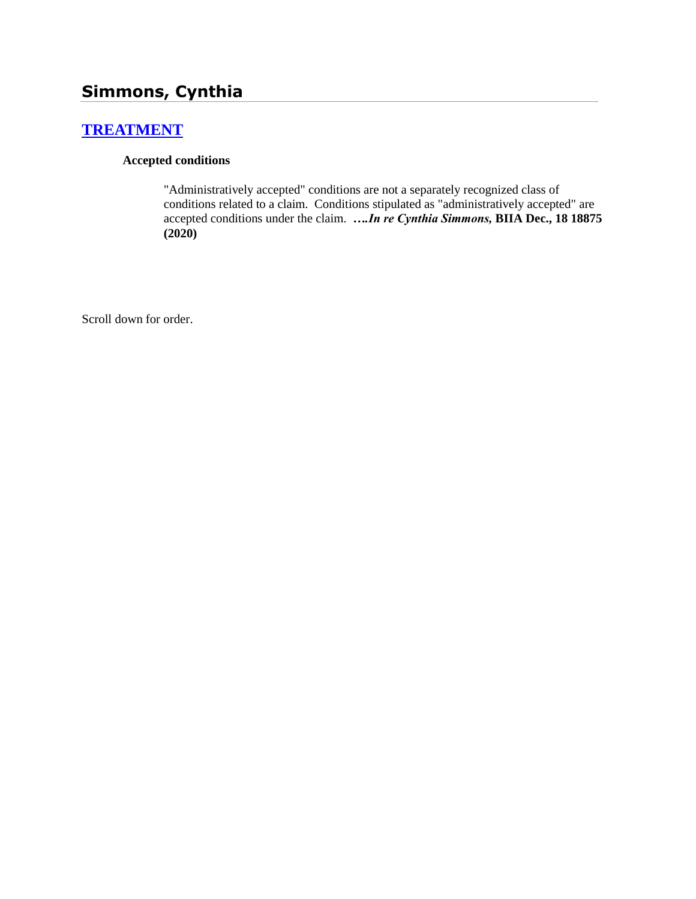# **Simmons, Cynthia**

## **[TREATMENT](http://www.biia.wa.gov/SDSubjectIndex.html#TREATMENT)**

#### **Accepted conditions**

"Administratively accepted" conditions are not a separately recognized class of conditions related to a claim. Conditions stipulated as "administratively accepted" are accepted conditions under the claim. *….In re Cynthia Simmons,* **BIIA Dec., 18 18875 (2020)**

Scroll down for order.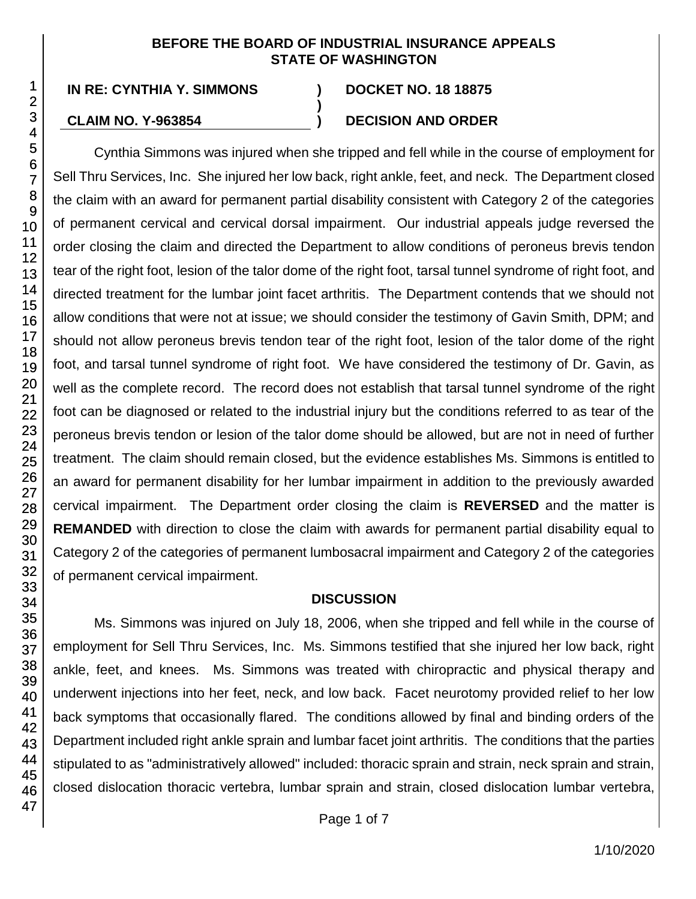#### **BEFORE THE BOARD OF INDUSTRIAL INSURANCE APPEALS STATE OF WASHINGTON**

**)**

#### **CLAIM NO. Y-963854 ) DECISION AND ORDER**

Cynthia Simmons was injured when she tripped and fell while in the course of employment for Sell Thru Services, Inc. She injured her low back, right ankle, feet, and neck. The Department closed the claim with an award for permanent partial disability consistent with Category 2 of the categories of permanent cervical and cervical dorsal impairment. Our industrial appeals judge reversed the order closing the claim and directed the Department to allow conditions of peroneus brevis tendon tear of the right foot, lesion of the talor dome of the right foot, tarsal tunnel syndrome of right foot, and directed treatment for the lumbar joint facet arthritis. The Department contends that we should not allow conditions that were not at issue; we should consider the testimony of Gavin Smith, DPM; and should not allow peroneus brevis tendon tear of the right foot, lesion of the talor dome of the right foot, and tarsal tunnel syndrome of right foot. We have considered the testimony of Dr. Gavin, as well as the complete record. The record does not establish that tarsal tunnel syndrome of the right foot can be diagnosed or related to the industrial injury but the conditions referred to as tear of the peroneus brevis tendon or lesion of the talor dome should be allowed, but are not in need of further treatment. The claim should remain closed, but the evidence establishes Ms. Simmons is entitled to an award for permanent disability for her lumbar impairment in addition to the previously awarded cervical impairment. The Department order closing the claim is **REVERSED** and the matter is **REMANDED** with direction to close the claim with awards for permanent partial disability equal to Category 2 of the categories of permanent lumbosacral impairment and Category 2 of the categories of permanent cervical impairment.

### **DISCUSSION**

Ms. Simmons was injured on July 18, 2006, when she tripped and fell while in the course of employment for Sell Thru Services, Inc. Ms. Simmons testified that she injured her low back, right ankle, feet, and knees. Ms. Simmons was treated with chiropractic and physical therapy and underwent injections into her feet, neck, and low back. Facet neurotomy provided relief to her low back symptoms that occasionally flared. The conditions allowed by final and binding orders of the Department included right ankle sprain and lumbar facet joint arthritis. The conditions that the parties stipulated to as "administratively allowed" included: thoracic sprain and strain, neck sprain and strain, closed dislocation thoracic vertebra, lumbar sprain and strain, closed dislocation lumbar vertebra,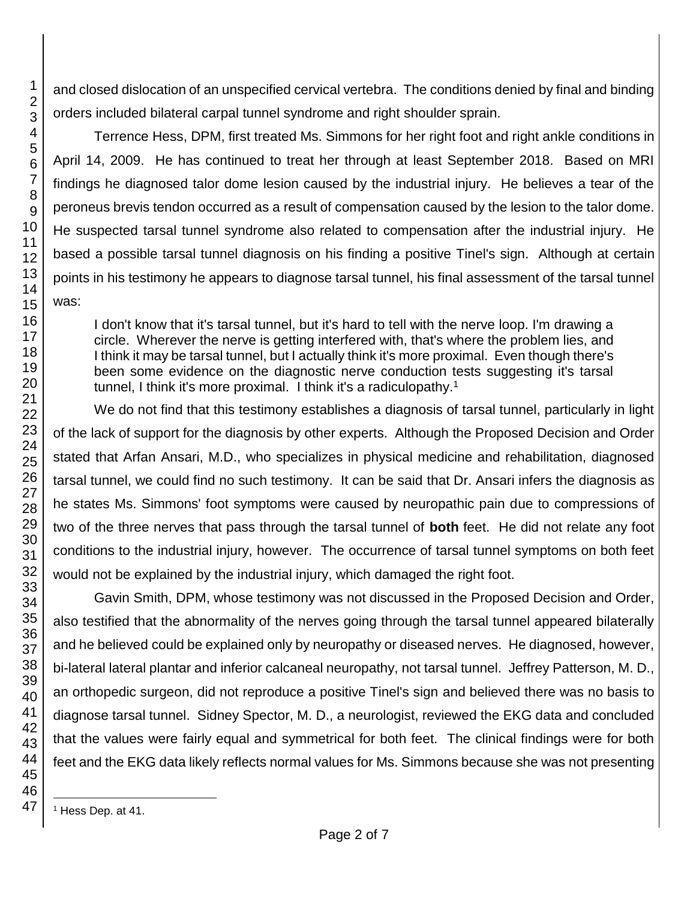and closed dislocation of an unspecified cervical vertebra. The conditions denied by final and binding orders included bilateral carpal tunnel syndrome and right shoulder sprain.

Terrence Hess, DPM, first treated Ms. Simmons for her right foot and right ankle conditions in April 14, 2009. He has continued to treat her through at least September 2018. Based on MRI findings he diagnosed talor dome lesion caused by the industrial injury. He believes a tear of the peroneus brevis tendon occurred as a result of compensation caused by the lesion to the talor dome. He suspected tarsal tunnel syndrome also related to compensation after the industrial injury. He based a possible tarsal tunnel diagnosis on his finding a positive Tinel's sign. Although at certain points in his testimony he appears to diagnose tarsal tunnel, his final assessment of the tarsal tunnel was:

I don't know that it's tarsal tunnel, but it's hard to tell with the nerve loop. I'm drawing a circle. Wherever the nerve is getting interfered with, that's where the problem lies, and I think it may be tarsal tunnel, but I actually think it's more proximal. Even though there's been some evidence on the diagnostic nerve conduction tests suggesting it's tarsal tunnel, I think it's more proximal. I think it's a radiculopathy.<sup>1</sup>

We do not find that this testimony establishes a diagnosis of tarsal tunnel, particularly in light of the lack of support for the diagnosis by other experts. Although the Proposed Decision and Order stated that Arfan Ansari, M.D., who specializes in physical medicine and rehabilitation, diagnosed tarsal tunnel, we could find no such testimony. It can be said that Dr. Ansari infers the diagnosis as he states Ms. Simmons' foot symptoms were caused by neuropathic pain due to compressions of two of the three nerves that pass through the tarsal tunnel of **both** feet. He did not relate any foot conditions to the industrial injury, however. The occurrence of tarsal tunnel symptoms on both feet would not be explained by the industrial injury, which damaged the right foot.

Gavin Smith, DPM, whose testimony was not discussed in the Proposed Decision and Order, also testified that the abnormality of the nerves going through the tarsal tunnel appeared bilaterally and he believed could be explained only by neuropathy or diseased nerves. He diagnosed, however, bi-lateral lateral plantar and inferior calcaneal neuropathy, not tarsal tunnel. Jeffrey Patterson, M. D., an orthopedic surgeon, did not reproduce a positive Tinel's sign and believed there was no basis to diagnose tarsal tunnel. Sidney Spector, M. D., a neurologist, reviewed the EKG data and concluded that the values were fairly equal and symmetrical for both feet. The clinical findings were for both feet and the EKG data likely reflects normal values for Ms. Simmons because she was not presenting

1

l

<sup>1</sup> Hess Dep. at 41.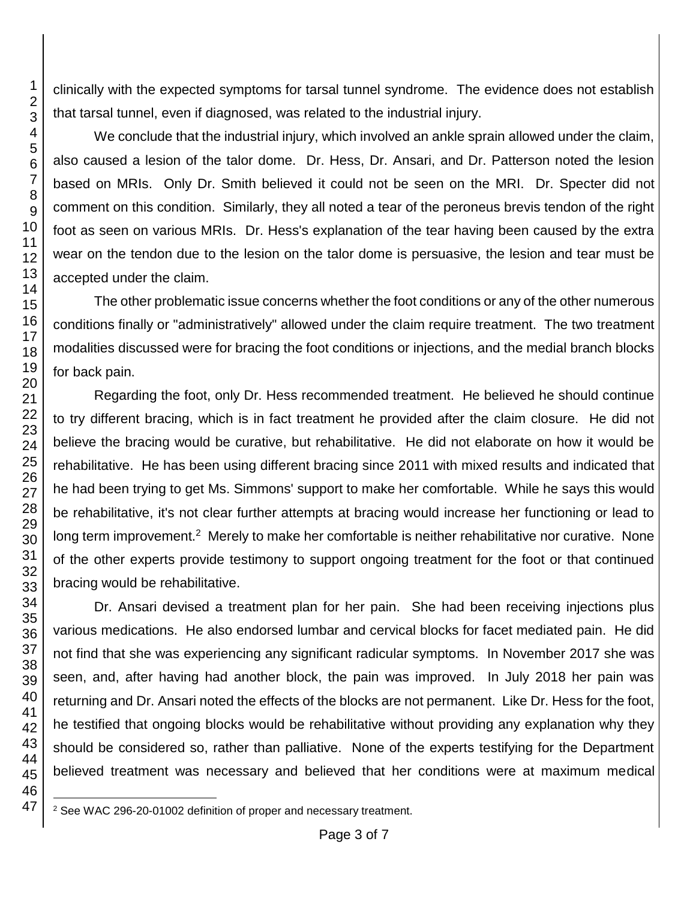clinically with the expected symptoms for tarsal tunnel syndrome. The evidence does not establish that tarsal tunnel, even if diagnosed, was related to the industrial injury.

We conclude that the industrial injury, which involved an ankle sprain allowed under the claim, also caused a lesion of the talor dome. Dr. Hess, Dr. Ansari, and Dr. Patterson noted the lesion based on MRIs. Only Dr. Smith believed it could not be seen on the MRI. Dr. Specter did not comment on this condition. Similarly, they all noted a tear of the peroneus brevis tendon of the right foot as seen on various MRIs. Dr. Hess's explanation of the tear having been caused by the extra wear on the tendon due to the lesion on the talor dome is persuasive, the lesion and tear must be accepted under the claim.

The other problematic issue concerns whether the foot conditions or any of the other numerous conditions finally or "administratively" allowed under the claim require treatment. The two treatment modalities discussed were for bracing the foot conditions or injections, and the medial branch blocks for back pain.

Regarding the foot, only Dr. Hess recommended treatment. He believed he should continue to try different bracing, which is in fact treatment he provided after the claim closure. He did not believe the bracing would be curative, but rehabilitative. He did not elaborate on how it would be rehabilitative. He has been using different bracing since 2011 with mixed results and indicated that he had been trying to get Ms. Simmons' support to make her comfortable. While he says this would be rehabilitative, it's not clear further attempts at bracing would increase her functioning or lead to long term improvement.<sup>2</sup> Merely to make her comfortable is neither rehabilitative nor curative. None of the other experts provide testimony to support ongoing treatment for the foot or that continued bracing would be rehabilitative.

Dr. Ansari devised a treatment plan for her pain. She had been receiving injections plus various medications. He also endorsed lumbar and cervical blocks for facet mediated pain. He did not find that she was experiencing any significant radicular symptoms. In November 2017 she was seen, and, after having had another block, the pain was improved. In July 2018 her pain was returning and Dr. Ansari noted the effects of the blocks are not permanent. Like Dr. Hess for the foot, he testified that ongoing blocks would be rehabilitative without providing any explanation why they should be considered so, rather than palliative. None of the experts testifying for the Department believed treatment was necessary and believed that her conditions were at maximum medical

l <sup>2</sup> See WAC 296-20-01002 definition of proper and necessary treatment.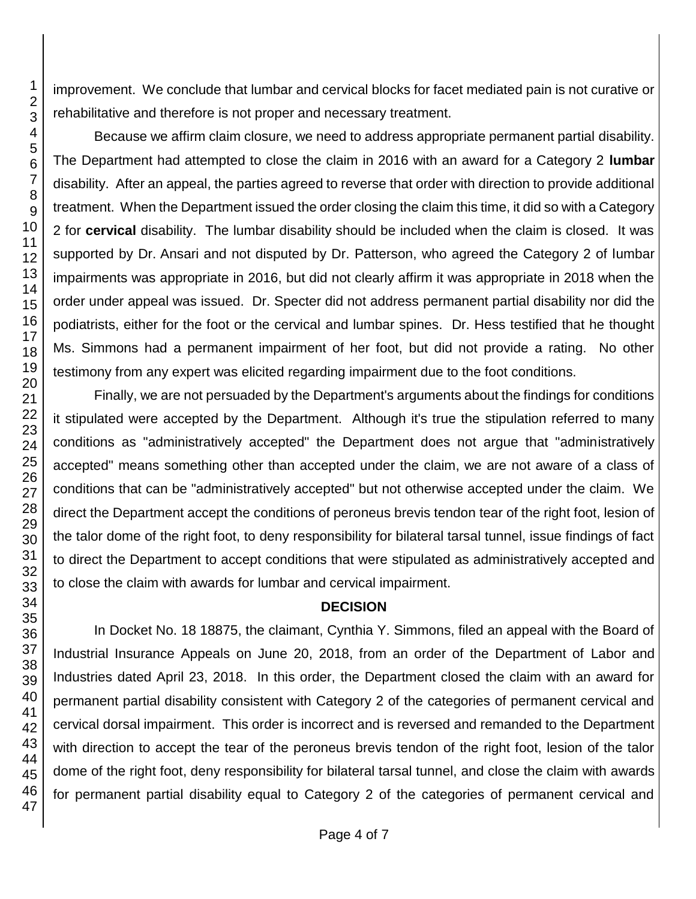improvement. We conclude that lumbar and cervical blocks for facet mediated pain is not curative or rehabilitative and therefore is not proper and necessary treatment.

Because we affirm claim closure, we need to address appropriate permanent partial disability. The Department had attempted to close the claim in 2016 with an award for a Category 2 **lumbar** disability. After an appeal, the parties agreed to reverse that order with direction to provide additional treatment. When the Department issued the order closing the claim this time, it did so with a Category 2 for **cervical** disability. The lumbar disability should be included when the claim is closed. It was supported by Dr. Ansari and not disputed by Dr. Patterson, who agreed the Category 2 of lumbar impairments was appropriate in 2016, but did not clearly affirm it was appropriate in 2018 when the order under appeal was issued. Dr. Specter did not address permanent partial disability nor did the podiatrists, either for the foot or the cervical and lumbar spines. Dr. Hess testified that he thought Ms. Simmons had a permanent impairment of her foot, but did not provide a rating. No other testimony from any expert was elicited regarding impairment due to the foot conditions.

Finally, we are not persuaded by the Department's arguments about the findings for conditions it stipulated were accepted by the Department. Although it's true the stipulation referred to many conditions as "administratively accepted" the Department does not argue that "administratively accepted" means something other than accepted under the claim, we are not aware of a class of conditions that can be "administratively accepted" but not otherwise accepted under the claim. We direct the Department accept the conditions of peroneus brevis tendon tear of the right foot, lesion of the talor dome of the right foot, to deny responsibility for bilateral tarsal tunnel, issue findings of fact to direct the Department to accept conditions that were stipulated as administratively accepted and to close the claim with awards for lumbar and cervical impairment.

#### **DECISION**

In Docket No. 18 18875, the claimant, Cynthia Y. Simmons, filed an appeal with the Board of Industrial Insurance Appeals on June 20, 2018, from an order of the Department of Labor and Industries dated April 23, 2018. In this order, the Department closed the claim with an award for permanent partial disability consistent with Category 2 of the categories of permanent cervical and cervical dorsal impairment. This order is incorrect and is reversed and remanded to the Department with direction to accept the tear of the peroneus brevis tendon of the right foot, lesion of the talor dome of the right foot, deny responsibility for bilateral tarsal tunnel, and close the claim with awards for permanent partial disability equal to Category 2 of the categories of permanent cervical and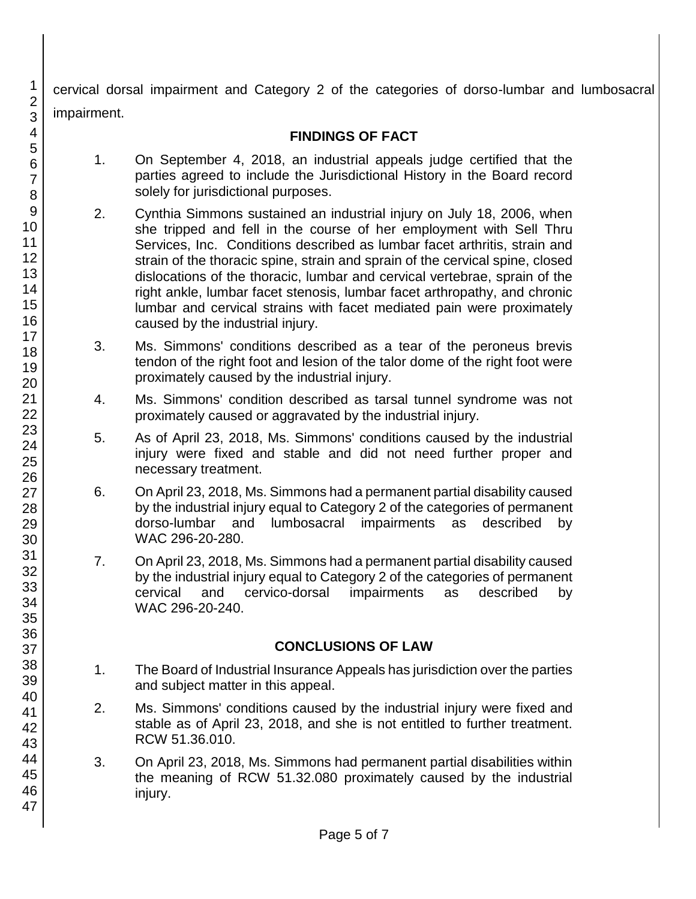cervical dorsal impairment and Category 2 of the categories of dorso-lumbar and lumbosacral impairment.

#### **FINDINGS OF FACT**

- 1. On September 4, 2018, an industrial appeals judge certified that the parties agreed to include the Jurisdictional History in the Board record solely for jurisdictional purposes.
- 2. Cynthia Simmons sustained an industrial injury on July 18, 2006, when she tripped and fell in the course of her employment with Sell Thru Services, Inc. Conditions described as lumbar facet arthritis, strain and strain of the thoracic spine, strain and sprain of the cervical spine, closed dislocations of the thoracic, lumbar and cervical vertebrae, sprain of the right ankle, lumbar facet stenosis, lumbar facet arthropathy, and chronic lumbar and cervical strains with facet mediated pain were proximately caused by the industrial injury.
- 3. Ms. Simmons' conditions described as a tear of the peroneus brevis tendon of the right foot and lesion of the talor dome of the right foot were proximately caused by the industrial injury.
- 4. Ms. Simmons' condition described as tarsal tunnel syndrome was not proximately caused or aggravated by the industrial injury.
- 5. As of April 23, 2018, Ms. Simmons' conditions caused by the industrial injury were fixed and stable and did not need further proper and necessary treatment.
- 6. On April 23, 2018, Ms. Simmons had a permanent partial disability caused by the industrial injury equal to Category 2 of the categories of permanent dorso-lumbar and lumbosacral impairments as described by WAC 296-20-280.
- 7. On April 23, 2018, Ms. Simmons had a permanent partial disability caused by the industrial injury equal to Category 2 of the categories of permanent cervical and cervico-dorsal impairments as described by WAC 296-20-240.

#### **CONCLUSIONS OF LAW**

- 1. The Board of Industrial Insurance Appeals has jurisdiction over the parties and subject matter in this appeal.
- 2. Ms. Simmons' conditions caused by the industrial injury were fixed and stable as of April 23, 2018, and she is not entitled to further treatment. RCW 51.36.010.
- 3. On April 23, 2018, Ms. Simmons had permanent partial disabilities within the meaning of RCW 51.32.080 proximately caused by the industrial injury.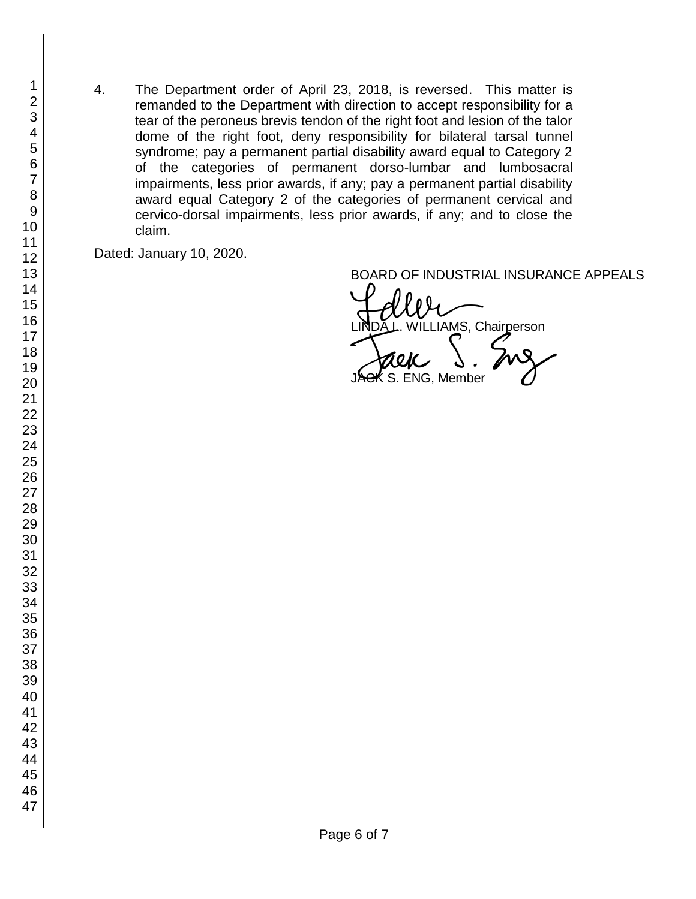4. The Department order of April 23, 2018, is reversed. This matter is remanded to the Department with direction to accept responsibility for a tear of the peroneus brevis tendon of the right foot and lesion of the talor dome of the right foot, deny responsibility for bilateral tarsal tunnel syndrome; pay a permanent partial disability award equal to Category 2 of the categories of permanent dorso-lumbar and lumbosacral impairments, less prior awards, if any; pay a permanent partial disability award equal Category 2 of the categories of permanent cervical and cervico-dorsal impairments, less prior awards, if any; and to close the claim.

Dated: January 10, 2020.

BOARD OF INDUSTRIAL INSURANCE APPEALS<br>A CULUATION CONTROL LIAMS, Chairperson **ENG, Member**